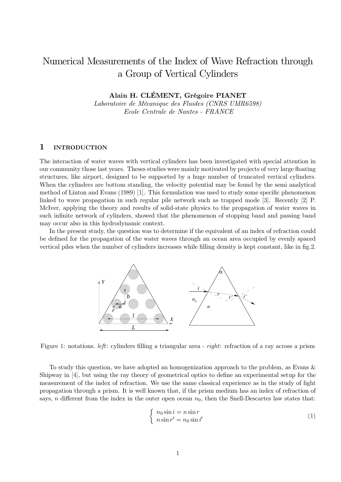# Numerical Measurements of the Index of Wave Refraction through a Group of Vertical Cylinders

Alain H. CLÉMENT, Grégoire PIANET

Laboratoire de Mécanique des Fluides (CNRS UMR6598) Ecole Centrale de Nantes - FRANCE

## $\mathbf{1}$ **INTRODUCTION**

The interaction of water waves with vertical cylinders has been investigated with special attention in our community those last years. These studies were mainly motivated by projects of very large floating structures, like airport, designed to be supported by a huge number of truncated vertical cylinders. When the cylinders are bottom standing, the velocity potential may be found by the semi analytical method of Linton and Evans  $(1989)$  [1]. This formulation was used to study some specific phenomenon linked to wave propagation in such regular pile network such as trapped mode  $[3]$ . Recently  $[2]$  P. McIver, applying the theory and results of solid-state physics to the propagation of water waves in such infinite network of cylinders, showed that the phenomenon of stopping band and passing band may occur also in this hydrodynamic context.

In the present study, the question was to determine if the equivalent of an index of refraction could be defined for the propagation of the water waves through an ocean area occupied by evenly spaced vertical piles when the number of cylinders increases while filling density is kept constant, like in fig.2.



Figure 1: notations. *left*: cylinders filling a triangular area - *right*: refraction of a ray across a prism

To study this question, we have adopted an homogenization approach to the problem, as Evans & Shipway in  $[4]$ , but using the ray theory of geometrical optics to define an experimental setup for the measurement of the index of refraction. We use the same classical experience as in the study of light propagation through a prism. It is well known that, if the prism medium has an index of refraction of says, n different from the index in the outer open ocean  $n_0$ , then the Snell-Descartes law states that:

$$
\begin{cases}\n n_0 \sin i = n \sin r \\
n \sin r' = n_0 \sin i'\n\end{cases}
$$
\n(1)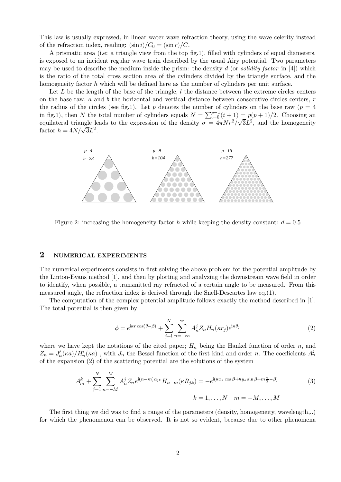This law is usually expressed, in linear water wave refraction theory, using the wave celerity instead of the refraction index, reading:  $(\sin i)/C_0 = (\sin r)/C$ .

A prismatic area (i.e. a triangle view from the top fig.1), filled with cylinders of equal diameters, is exposed to an incident regular wave train described by the usual Airy potential. Two parameters may be used to describe the medium inside the prism: the density d (or *solidity factor* in [4]) which is the ratio of the total cross section area of the cylinders divided by the triangle surface, and the homogeneity factor  $h$  which will be defined here as the number of cylinders per unit surface.

Let L be the length of the base of the triangle,  $l$  the distance between the extreme circles centers on the base raw,  $a$  and  $b$  the horizontal and vertical distance between consecutive circles centers,  $r$ the radius of the circles (see fig.1). Let p denotes the number of cylinders on the base raw ( $p = 4$ ) in fig.1), then N the total number of cylinders equals  $N = \sum_{i=0}^{p-1} (i+1) = p(p+1)/2$ . Choosing an equilateral triangle leads to the expression of the density  $\sigma = 4\pi N r^2 / \sqrt{3}L^2$ , and the homogeneity factor  $h = 4N/\sqrt{3}L^2$ .



Figure 2: increasing the homogeneity factor h while keeping the density constant:  $d = 0.5$ 

#### $\overline{2}$ NUMERICAL EXPERIMENTS

The numerical experiments consists in first solving the above problem for the potential amplitude by the Linton-Evans method [1], and then by plotting and analyzing the downstream wave field in order to identify, when possible, a transmitted ray refracted of a certain angle to be measured. From this measured angle, the refraction index is derived through the Snell-Descartes law  $eq.(1)$ .

The computation of the complex potential amplitude follows exactly the method described in [1]. The total potential is then given by

$$
\phi = e^{i\kappa r \cos(\theta - \beta)} + \sum_{j=1}^{N} \sum_{n=-\infty}^{\infty} A_n^j Z_n H_n(\kappa r_j) e^{in\theta_j}
$$
\n(2)

where we have kept the notations of the cited paper;  $H_n$  being the Hankel function of order n, and  $Z_n = J'_n(\kappa a)/H'_n(\kappa a)$ , with  $J_n$  the Bessel function of the first kind and order n. The coefficients  $A_n^j$ of the expansion  $(2)$  of the scattering potential are the solutions of the system

$$
A_m^k + \sum_{j=1}^N \sum_{n=-M}^M A_n^j Z_n e^{i(n-m)\alpha_{jk}} H_{n-m}(\kappa R_{jk}) = -e^{i(\kappa x_k \cos \beta + \kappa y_k \sin \beta + m\frac{\pi}{2} - \beta)}
$$
(3)  

$$
k = 1, \dots, N, \quad m = -M, \dots, M
$$

The first thing we did was to find a range of the parameters (density, homogeneity, wavelength...) for which the phenomenon can be observed. It is not so evident, because due to other phenomena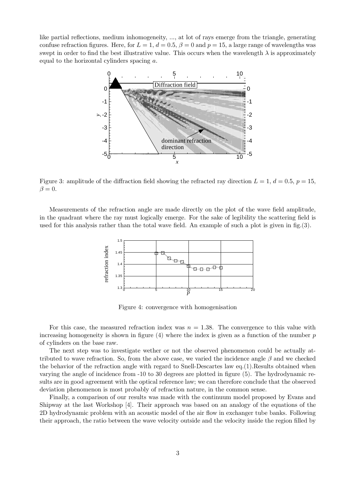like partial reflections, medium inhomogeneity, ..., at lot of rays emerge from the triangle, generating confuse refraction figures. Here, for  $L = 1$ ,  $d = 0.5$ ,  $\beta = 0$  and  $p = 15$ , a large range of wavelengths was swept in order to find the best illustrative value. This occurs when the wavelength  $\lambda$  is approximately equal to the horizontal cylinders spacing  $a$ .



Figure 3: amplitude of the diffraction field showing the refracted ray direction  $L = 1, d = 0.5, p = 15$ ,  $\beta = 0.$ 

Measurements of the refraction angle are made directly on the plot of the wave field amplitude, in the quadrant where the ray must logically emerge. For the sake of legibility the scattering field is used for this analysis rather than the total wave field. An example of such a plot is given in  $fig.(3)$ .



Figure 4: convergence with homogenisation

For this case, the measured refraction index was  $n = 1.38$ . The convergence to this value with increasing homogeneity is shown in figure (4) where the index is given as a function of the number  $p$ of cylinders on the base raw.

The next step was to investigate wether or not the observed phenomenon could be actually attributed to wave refraction. So, from the above case, we varied the incidence angle  $\beta$  and we checked the behavior of the refraction angle with regard to Snell-Descartes law eq. (1). Results obtained when varying the angle of incidence from -10 to 30 degrees are plotted in figure (5). The hydrodynamic results are in good agreement with the optical reference law; we can therefore conclude that the observed deviation phenomenon is most probably of refraction nature, in the common sense.

Finally, a comparison of our results was made with the continuum model proposed by Evans and Shipway at the last Workshop [4]. Their approach was based on an analogy of the equations of the 2D hydrodynamic problem with an acoustic model of the air flow in exchanger tube banks. Following their approach, the ratio between the wave velocity outside and the velocity inside the region filled by